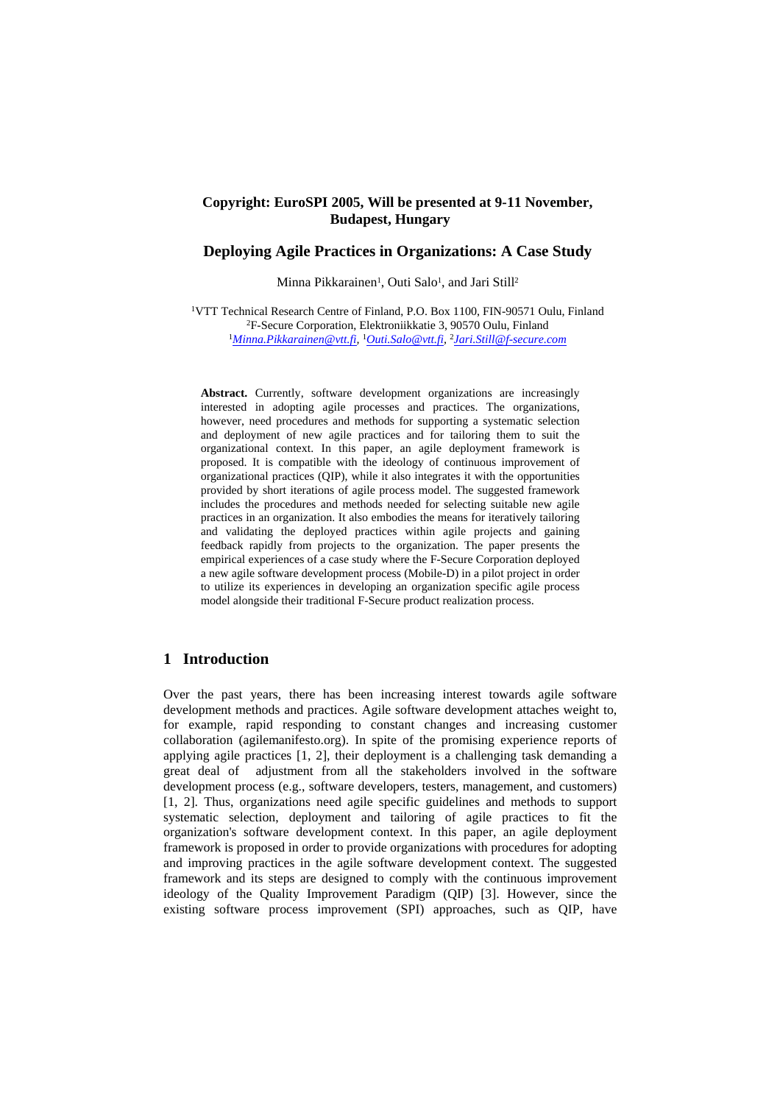## **Copyright: EuroSPI 2005, Will be presented at 9-11 November, Budapest, Hungary**

## **Deploying Agile Practices in Organizations: A Case Study**

Minna Pikkarainen<sup>1</sup>, Outi Salo<sup>1</sup>, and Jari Still<sup>2</sup>

<sup>1</sup>VTT Technical Research Centre of Finland, P.O. Box 1100, FIN-90571 Oulu, Finland <sup>2</sup>F-Secure Corporation, Elektroniikkatie 3, 90570 Oulu, Finland F-Secure Corporation, Elektroniikkatie 3, 90570 Oulu, Finland 1*Minna.Pikkarainen@vtt.fi,* <sup>1</sup>*Outi.Salo@vtt.fi,* <sup>2</sup>*Jari.Still@f-secure.com*

Abstract. Currently, software development organizations are increasingly interested in adopting agile processes and practices. The organizations, however, need procedures and methods for supporting a systematic selection and deployment of new agile practices and for tailoring them to suit the organizational context. In this paper, an agile deployment framework is proposed. It is compatible with the ideology of continuous improvement of organizational practices (QIP), while it also integrates it with the opportunities provided by short iterations of agile process model. The suggested framework includes the procedures and methods needed for selecting suitable new agile practices in an organization. It also embodies the means for iteratively tailoring and validating the deployed practices within agile projects and gaining feedback rapidly from projects to the organization. The paper presents the empirical experiences of a case study where the F-Secure Corporation deployed a new agile software development process (Mobile-D) in a pilot project in order to utilize its experiences in developing an organization specific agile process model alongside their traditional F-Secure product realization process.

## **1 Introduction**

Over the past years, there has been increasing interest towards agile software development methods and practices. Agile software development attaches weight to, for example, rapid responding to constant changes and increasing customer collaboration (agilemanifesto.org). In spite of the promising experience reports of applying agile practices [1, 2], their deployment is a challenging task demanding a great deal of adjustment from all the stakeholders involved in the software development process (e.g., software developers, testers, management, and customers) [1, 2]. Thus, organizations need agile specific guidelines and methods to support systematic selection, deployment and tailoring of agile practices to fit the organization's software development context. In this paper, an agile deployment framework is proposed in order to provide organizations with procedures for adopting and improving practices in the agile software development context. The suggested framework and its steps are designed to comply with the continuous improvement ideology of the Quality Improvement Paradigm (QIP) [3]. However, since the existing software process improvement (SPI) approaches, such as QIP, have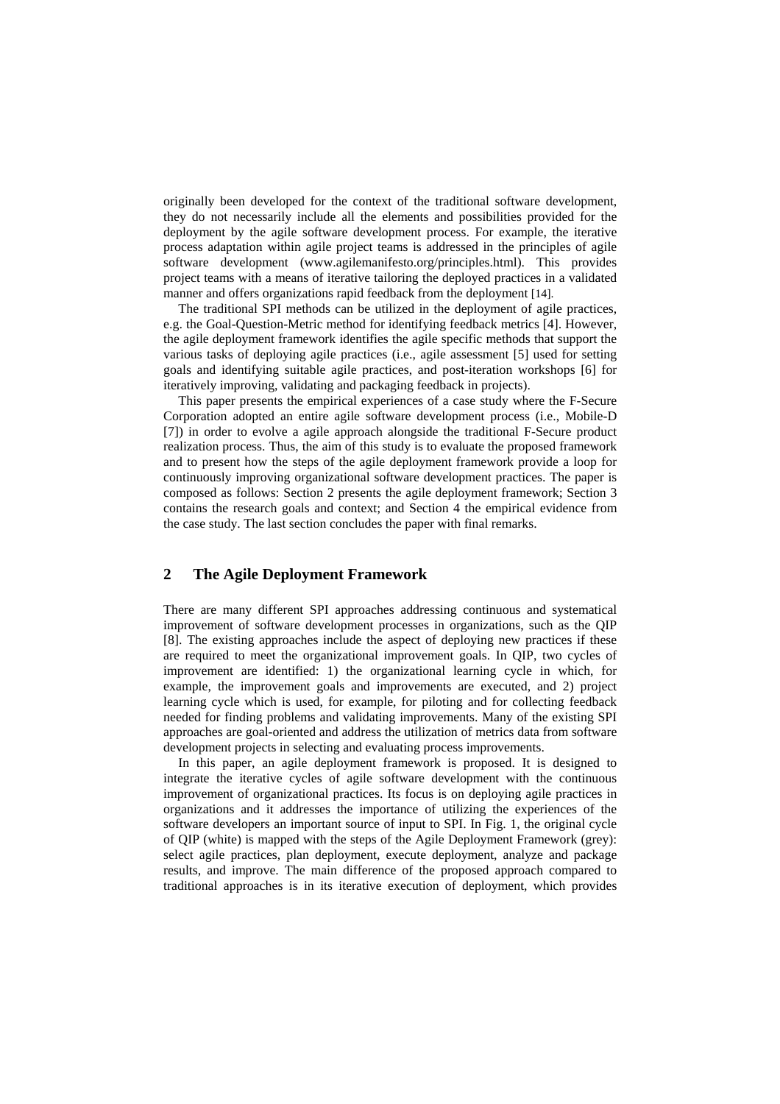originally been developed for the context of the traditional software development, they do not necessarily include all the elements and possibilities provided for the deployment by the agile software development process. For example, the iterative process adaptation within agile project teams is addressed in the principles of agile software development (www.agilemanifesto.org/principles.html). This provides project teams with a means of iterative tailoring the deployed practices in a validated manner and offers organizations rapid feedback from the deployment [14].

The traditional SPI methods can be utilized in the deployment of agile practices, e.g. the Goal-Question-Metric method for identifying feedback metrics [4]. However, the agile deployment framework identifies the agile specific methods that support the various tasks of deploying agile practices (i.e., agile assessment [5] used for setting goals and identifying suitable agile practices, and post-iteration workshops [6] for iteratively improving, validating and packaging feedback in projects).

This paper presents the empirical experiences of a case study where the F-Secure Corporation adopted an entire agile software development process (i.e., Mobile-D [7]) in order to evolve a agile approach alongside the traditional F-Secure product realization process. Thus, the aim of this study is to evaluate the proposed framework and to present how the steps of the agile deployment framework provide a loop for continuously improving organizational software development practices. The paper is composed as follows: Section 2 presents the agile deployment framework; Section 3 contains the research goals and context; and Section 4 the empirical evidence from the case study. The last section concludes the paper with final remarks.

## **2 The Agile Deployment Framework**

There are many different SPI approaches addressing continuous and systematical improvement of software development processes in organizations, such as the QIP [8]. The existing approaches include the aspect of deploying new practices if these are required to meet the organizational improvement goals. In QIP, two cycles of improvement are identified: 1) the organizational learning cycle in which, for example, the improvement goals and improvements are executed, and 2) project learning cycle which is used, for example, for piloting and for collecting feedback needed for finding problems and validating improvements. Many of the existing SPI approaches are goal-oriented and address the utilization of metrics data from software development projects in selecting and evaluating process improvements.

In this paper, an agile deployment framework is proposed. It is designed to integrate the iterative cycles of agile software development with the continuous improvement of organizational practices. Its focus is on deploying agile practices in organizations and it addresses the importance of utilizing the experiences of the software developers an important source of input to SPI. In Fig. 1, the original cycle of QIP (white) is mapped with the steps of the Agile Deployment Framework (grey): select agile practices, plan deployment, execute deployment, analyze and package results, and improve. The main difference of the proposed approach compared to traditional approaches is in its iterative execution of deployment, which provides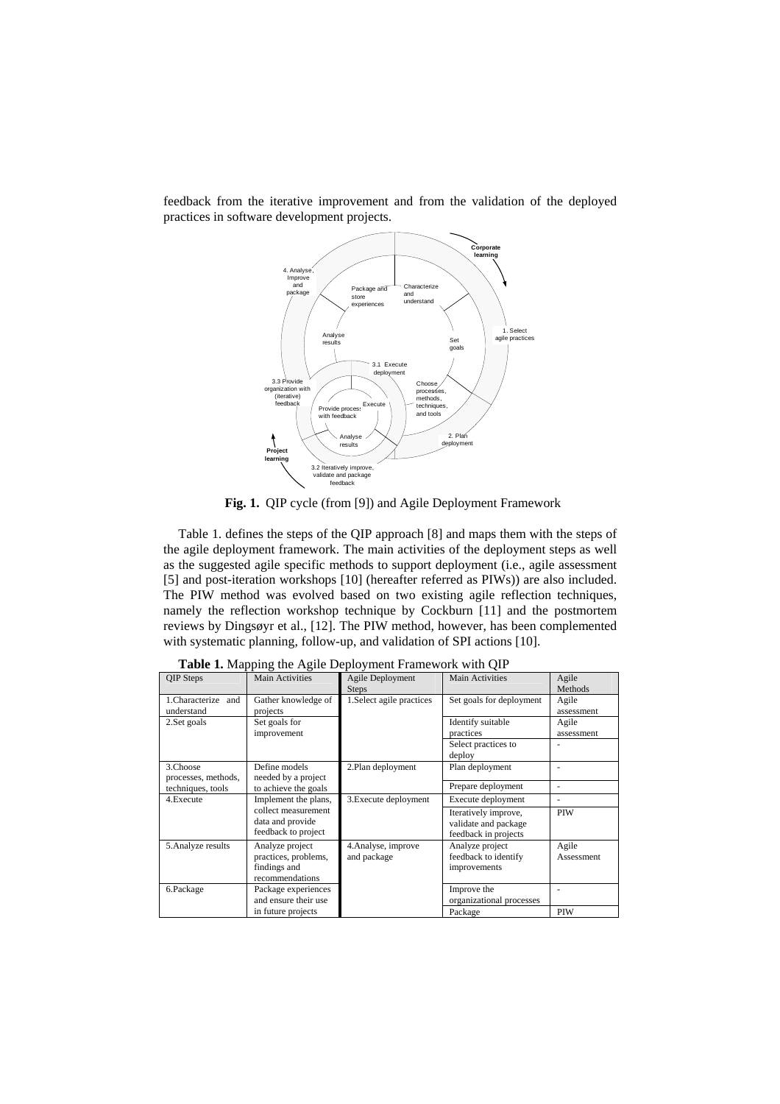

feedback from the iterative improvement and from the validation of the deployed practices in software development projects.

**Fig. 1.** QIP cycle (from [9]) and Agile Deployment Framework

Table 1. defines the steps of the QIP approach [8] and maps them with the steps of the agile deployment framework. The main activities of the deployment steps as well as the suggested agile specific methods to support deployment (i.e., agile assessment [5] and post-iteration workshops [10] (hereafter referred as PIWs)) are also included. The PIW method was evolved based on two existing agile reflection techniques, namely the reflection workshop technique by Cockburn [11] and the postmortem reviews by Dingsøyr et al., [12]. The PIW method, however, has been complemented with systematic planning, follow-up, and validation of SPI actions [10].

| <b>Table 1.</b> Mapping the Agne Deployment Framework with OIP |                        |                           |                          |            |  |
|----------------------------------------------------------------|------------------------|---------------------------|--------------------------|------------|--|
| <b>OIP</b> Steps                                               | <b>Main Activities</b> | Agile Deployment          | <b>Main Activities</b>   | Agile      |  |
|                                                                |                        | <b>Steps</b>              |                          | Methods    |  |
| 1.Characterize<br>and                                          | Gather knowledge of    | 1. Select agile practices | Set goals for deployment | Agile      |  |
| understand                                                     | projects               |                           |                          | assessment |  |
| 2. Set goals                                                   | Set goals for          |                           | Identify suitable        | Agile      |  |
|                                                                | improvement            |                           | practices                | assessment |  |
|                                                                |                        |                           | Select practices to      |            |  |
|                                                                |                        |                           | deploy                   |            |  |
| 3.Choose                                                       | Define models          | 2.Plan deployment         | Plan deployment          |            |  |
| processes, methods,                                            | needed by a project    |                           |                          |            |  |
| techniques, tools                                              | to achieve the goals   |                           | Prepare deployment       |            |  |
| 4.Execute                                                      | Implement the plans,   | 3. Execute deployment     | Execute deployment       |            |  |
|                                                                | collect measurement    |                           | Iteratively improve,     | PIW        |  |
|                                                                | data and provide       |                           | validate and package     |            |  |
|                                                                | feedback to project    |                           | feedback in projects     |            |  |
| 5. Analyze results                                             | Analyze project        | 4. Analyse, improve       | Analyze project          | Agile      |  |
|                                                                | practices, problems,   | and package               | feedback to identify     | Assessment |  |
|                                                                | findings and           |                           | improvements             |            |  |
|                                                                | recommendations        |                           |                          |            |  |
| 6.Package                                                      | Package experiences    |                           | Improve the              |            |  |
|                                                                | and ensure their use   |                           | organizational processes |            |  |
|                                                                | in future projects     |                           | Package                  | PIW        |  |

**Table 1.** Mapping the Agile Deployment Framework with QIP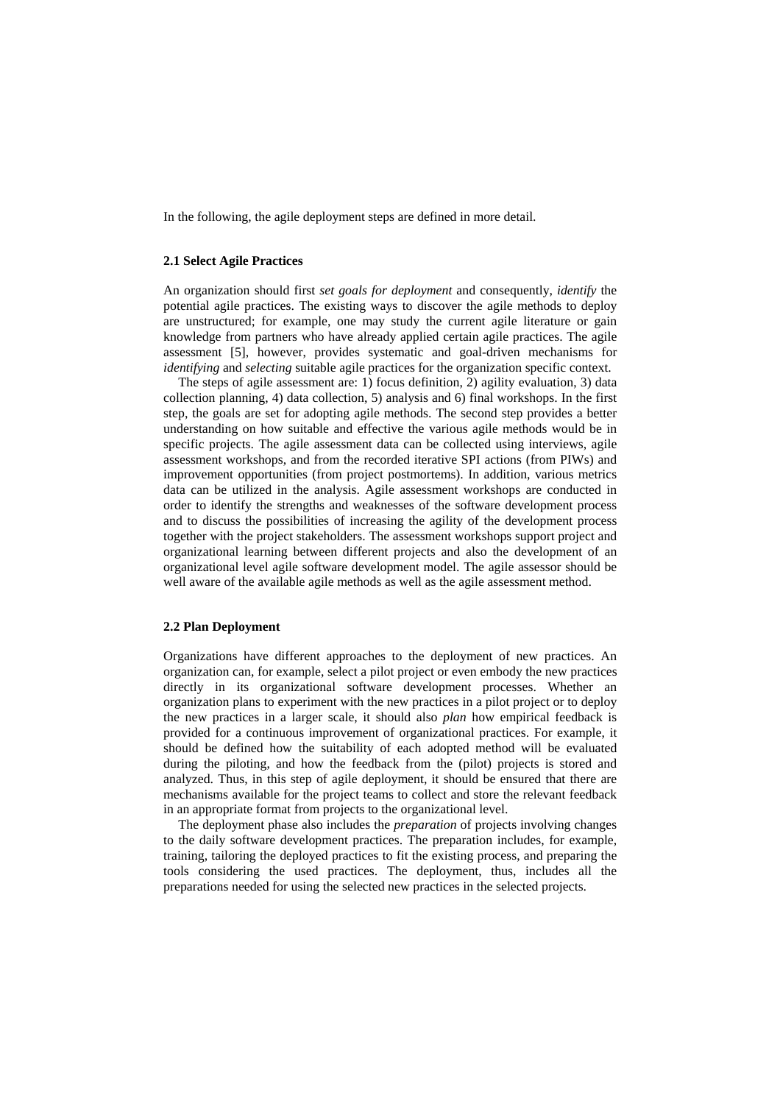In the following, the agile deployment steps are defined in more detail.

#### **2.1 Select Agile Practices**

An organization should first *set goals for deployment* and consequently, *identify* the potential agile practices. The existing ways to discover the agile methods to deploy are unstructured; for example, one may study the current agile literature or gain knowledge from partners who have already applied certain agile practices. The agile assessment [5], however, provides systematic and goal-driven mechanisms for *identifying* and *selecting* suitable agile practices for the organization specific context.

The steps of agile assessment are: 1) focus definition, 2) agility evaluation, 3) data collection planning, 4) data collection, 5) analysis and 6) final workshops. In the first step, the goals are set for adopting agile methods. The second step provides a better understanding on how suitable and effective the various agile methods would be in specific projects. The agile assessment data can be collected using interviews, agile assessment workshops, and from the recorded iterative SPI actions (from PIWs) and improvement opportunities (from project postmortems). In addition, various metrics data can be utilized in the analysis. Agile assessment workshops are conducted in order to identify the strengths and weaknesses of the software development process and to discuss the possibilities of increasing the agility of the development process together with the project stakeholders. The assessment workshops support project and organizational learning between different projects and also the development of an organizational level agile software development model. The agile assessor should be well aware of the available agile methods as well as the agile assessment method.

#### **2.2 Plan Deployment**

Organizations have different approaches to the deployment of new practices. An organization can, for example, select a pilot project or even embody the new practices directly in its organizational software development processes. Whether an organization plans to experiment with the new practices in a pilot project or to deploy the new practices in a larger scale, it should also *plan* how empirical feedback is provided for a continuous improvement of organizational practices. For example, it should be defined how the suitability of each adopted method will be evaluated during the piloting, and how the feedback from the (pilot) projects is stored and analyzed. Thus, in this step of agile deployment, it should be ensured that there are mechanisms available for the project teams to collect and store the relevant feedback in an appropriate format from projects to the organizational level.

The deployment phase also includes the *preparation* of projects involving changes to the daily software development practices. The preparation includes, for example, training, tailoring the deployed practices to fit the existing process, and preparing the tools considering the used practices. The deployment, thus, includes all the preparations needed for using the selected new practices in the selected projects.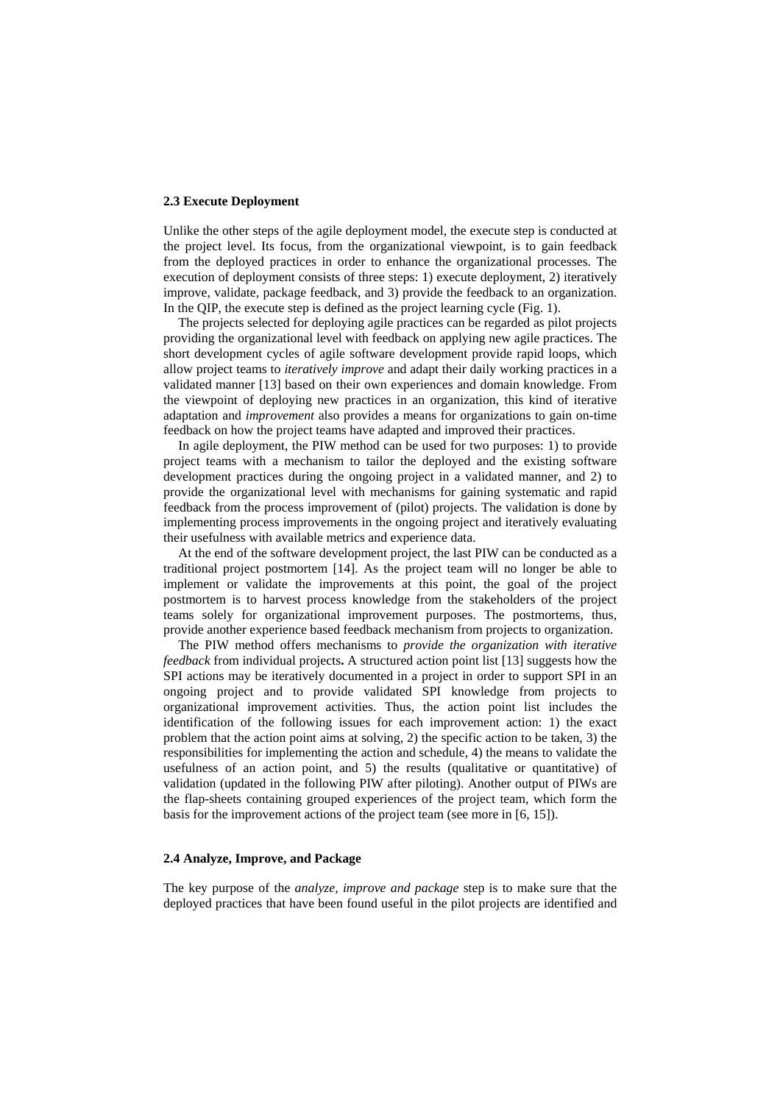#### **2.3 Execute Deployment**

Unlike the other steps of the agile deployment model, the execute step is conducted at the project level. Its focus, from the organizational viewpoint, is to gain feedback from the deployed practices in order to enhance the organizational processes. The execution of deployment consists of three steps: 1) execute deployment, 2) iteratively improve, validate, package feedback, and 3) provide the feedback to an organization. In the QIP, the execute step is defined as the project learning cycle (Fig. 1).

The projects selected for deploying agile practices can be regarded as pilot projects providing the organizational level with feedback on applying new agile practices. The short development cycles of agile software development provide rapid loops, which allow project teams to *iteratively improve* and adapt their daily working practices in a validated manner [13] based on their own experiences and domain knowledge. From the viewpoint of deploying new practices in an organization, this kind of iterative adaptation and *improvement* also provides a means for organizations to gain on-time feedback on how the project teams have adapted and improved their practices.

In agile deployment, the PIW method can be used for two purposes: 1) to provide project teams with a mechanism to tailor the deployed and the existing software development practices during the ongoing project in a validated manner, and 2) to provide the organizational level with mechanisms for gaining systematic and rapid feedback from the process improvement of (pilot) projects. The validation is done by implementing process improvements in the ongoing project and iteratively evaluating their usefulness with available metrics and experience data.

At the end of the software development project, the last PIW can be conducted as a traditional project postmortem [14]. As the project team will no longer be able to implement or validate the improvements at this point, the goal of the project postmortem is to harvest process knowledge from the stakeholders of the project teams solely for organizational improvement purposes. The postmortems, thus, provide another experience based feedback mechanism from projects to organization.

The PIW method offers mechanisms to *provide the organization with iterative feedback* from individual projects**.** A structured action point list [13] suggests how the SPI actions may be iteratively documented in a project in order to support SPI in an ongoing project and to provide validated SPI knowledge from projects to organizational improvement activities. Thus, the action point list includes the identification of the following issues for each improvement action: 1) the exact problem that the action point aims at solving, 2) the specific action to be taken, 3) the responsibilities for implementing the action and schedule, 4) the means to validate the usefulness of an action point, and 5) the results (qualitative or quantitative) of validation (updated in the following PIW after piloting). Another output of PIWs are the flap-sheets containing grouped experiences of the project team, which form the basis for the improvement actions of the project team (see more in [6, 15]).

## **2.4 Analyze, Improve, and Package**

The key purpose of the *analyze, improve and package* step is to make sure that the deployed practices that have been found useful in the pilot projects are identified and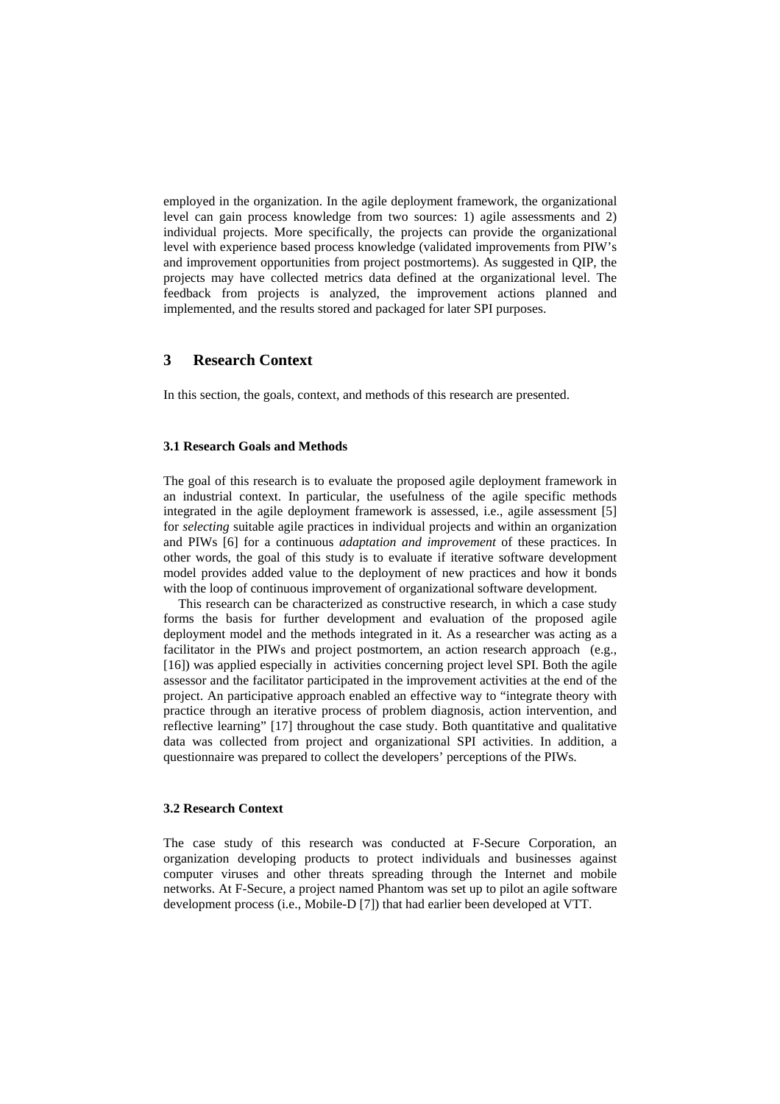employed in the organization. In the agile deployment framework, the organizational level can gain process knowledge from two sources: 1) agile assessments and 2) individual projects. More specifically, the projects can provide the organizational level with experience based process knowledge (validated improvements from PIW's and improvement opportunities from project postmortems). As suggested in QIP, the projects may have collected metrics data defined at the organizational level. The feedback from projects is analyzed, the improvement actions planned and implemented, and the results stored and packaged for later SPI purposes.

# **3 Research Context**

In this section, the goals, context, and methods of this research are presented.

### **3.1 Research Goals and Methods**

The goal of this research is to evaluate the proposed agile deployment framework in an industrial context. In particular, the usefulness of the agile specific methods integrated in the agile deployment framework is assessed, i.e., agile assessment [5] for *selecting* suitable agile practices in individual projects and within an organization and PIWs [6] for a continuous *adaptation and improvement* of these practices. In other words, the goal of this study is to evaluate if iterative software development model provides added value to the deployment of new practices and how it bonds with the loop of continuous improvement of organizational software development.

This research can be characterized as constructive research, in which a case study forms the basis for further development and evaluation of the proposed agile deployment model and the methods integrated in it. As a researcher was acting as a facilitator in the PIWs and project postmortem, an action research approach (e.g., [16]) was applied especially in activities concerning project level SPI. Both the agile assessor and the facilitator participated in the improvement activities at the end of the project. An participative approach enabled an effective way to "integrate theory with practice through an iterative process of problem diagnosis, action intervention, and reflective learning" [17] throughout the case study. Both quantitative and qualitative data was collected from project and organizational SPI activities. In addition, a questionnaire was prepared to collect the developers' perceptions of the PIWs.

#### **3.2 Research Context**

The case study of this research was conducted at F-Secure Corporation, an organization developing products to protect individuals and businesses against computer viruses and other threats spreading through the Internet and mobile networks. At F-Secure, a project named Phantom was set up to pilot an agile software development process (i.e., Mobile-D [7]) that had earlier been developed at VTT.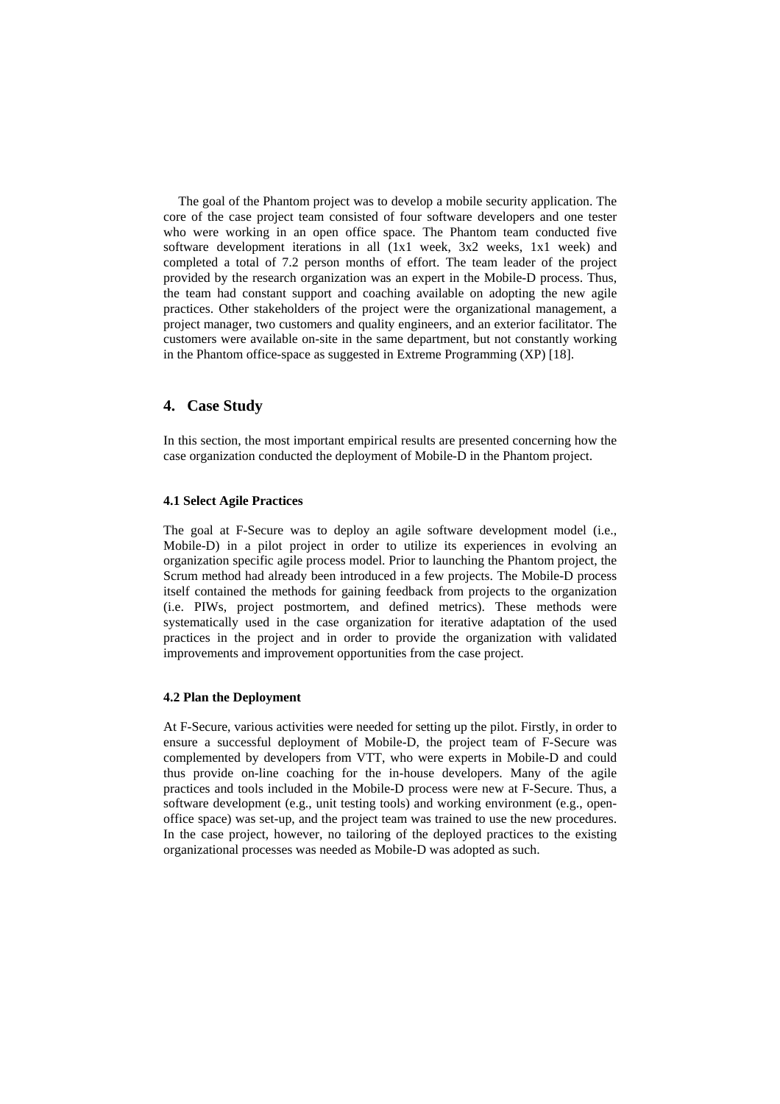The goal of the Phantom project was to develop a mobile security application. The core of the case project team consisted of four software developers and one tester who were working in an open office space. The Phantom team conducted five software development iterations in all (1x1 week, 3x2 weeks, 1x1 week) and completed a total of 7.2 person months of effort. The team leader of the project provided by the research organization was an expert in the Mobile-D process. Thus, the team had constant support and coaching available on adopting the new agile practices. Other stakeholders of the project were the organizational management, a project manager, two customers and quality engineers, and an exterior facilitator. The customers were available on-site in the same department, but not constantly working in the Phantom office-space as suggested in Extreme Programming (XP) [18].

### **4. Case Study**

In this section, the most important empirical results are presented concerning how the case organization conducted the deployment of Mobile-D in the Phantom project.

### **4.1 Select Agile Practices**

The goal at F-Secure was to deploy an agile software development model (i.e., Mobile-D) in a pilot project in order to utilize its experiences in evolving an organization specific agile process model. Prior to launching the Phantom project, the Scrum method had already been introduced in a few projects. The Mobile-D process itself contained the methods for gaining feedback from projects to the organization (i.e. PIWs, project postmortem, and defined metrics). These methods were systematically used in the case organization for iterative adaptation of the used practices in the project and in order to provide the organization with validated improvements and improvement opportunities from the case project.

#### **4.2 Plan the Deployment**

At F-Secure, various activities were needed for setting up the pilot. Firstly, in order to ensure a successful deployment of Mobile-D, the project team of F-Secure was complemented by developers from VTT, who were experts in Mobile-D and could thus provide on-line coaching for the in-house developers. Many of the agile practices and tools included in the Mobile-D process were new at F-Secure. Thus, a software development (e.g., unit testing tools) and working environment (e.g., openoffice space) was set-up, and the project team was trained to use the new procedures. In the case project, however, no tailoring of the deployed practices to the existing organizational processes was needed as Mobile-D was adopted as such.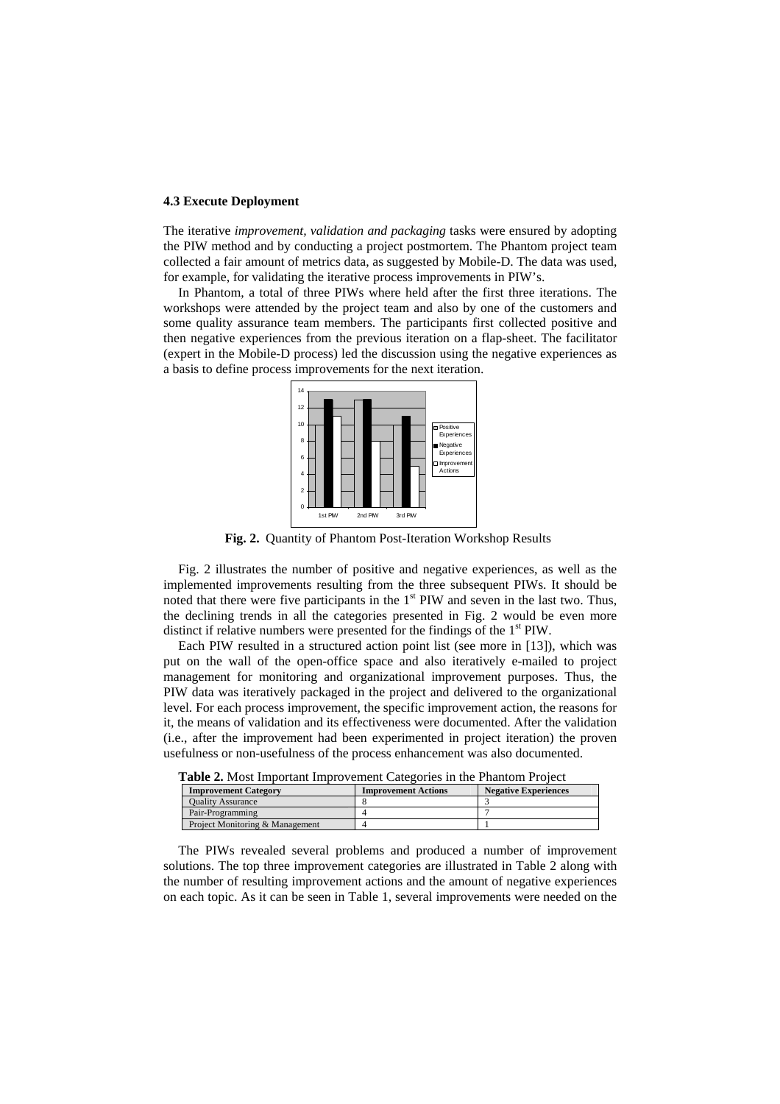#### **4.3 Execute Deployment**

The iterative *improvement, validation and packaging* tasks were ensured by adopting the PIW method and by conducting a project postmortem. The Phantom project team collected a fair amount of metrics data, as suggested by Mobile-D. The data was used, for example, for validating the iterative process improvements in PIW's.

In Phantom, a total of three PIWs where held after the first three iterations. The workshops were attended by the project team and also by one of the customers and some quality assurance team members. The participants first collected positive and then negative experiences from the previous iteration on a flap-sheet. The facilitator (expert in the Mobile-D process) led the discussion using the negative experiences as a basis to define process improvements for the next iteration.



**Fig. 2.** Quantity of Phantom Post-Iteration Workshop Results

Fig. 2 illustrates the number of positive and negative experiences, as well as the implemented improvements resulting from the three subsequent PIWs. It should be noted that there were five participants in the  $1<sup>st</sup>$  PIW and seven in the last two. Thus, the declining trends in all the categories presented in Fig. 2 would be even more distinct if relative numbers were presented for the findings of the  $1<sup>st</sup>$  PIW.

Each PIW resulted in a structured action point list (see more in [13]), which was put on the wall of the open-office space and also iteratively e-mailed to project management for monitoring and organizational improvement purposes. Thus, the PIW data was iteratively packaged in the project and delivered to the organizational level. For each process improvement, the specific improvement action, the reasons for it, the means of validation and its effectiveness were documented. After the validation (i.e., after the improvement had been experimented in project iteration) the proven usefulness or non-usefulness of the process enhancement was also documented.

| <b>Table 2.</b> Most important improvement Categories in the Phantom Project |                                 |                            |                             |  |  |  |
|------------------------------------------------------------------------------|---------------------------------|----------------------------|-----------------------------|--|--|--|
|                                                                              | <b>Improvement Category</b>     | <b>Improvement Actions</b> | <b>Negative Experiences</b> |  |  |  |
|                                                                              | <b>Ouality Assurance</b>        |                            |                             |  |  |  |
|                                                                              | Pair-Programming                |                            |                             |  |  |  |
|                                                                              | Project Monitoring & Management |                            |                             |  |  |  |

**Table 2.** Most Important Improvement Categories in the Phanto

The PIWs revealed several problems and produced a number of improvement solutions. The top three improvement categories are illustrated in Table 2 along with the number of resulting improvement actions and the amount of negative experiences on each topic. As it can be seen in Table 1, several improvements were needed on the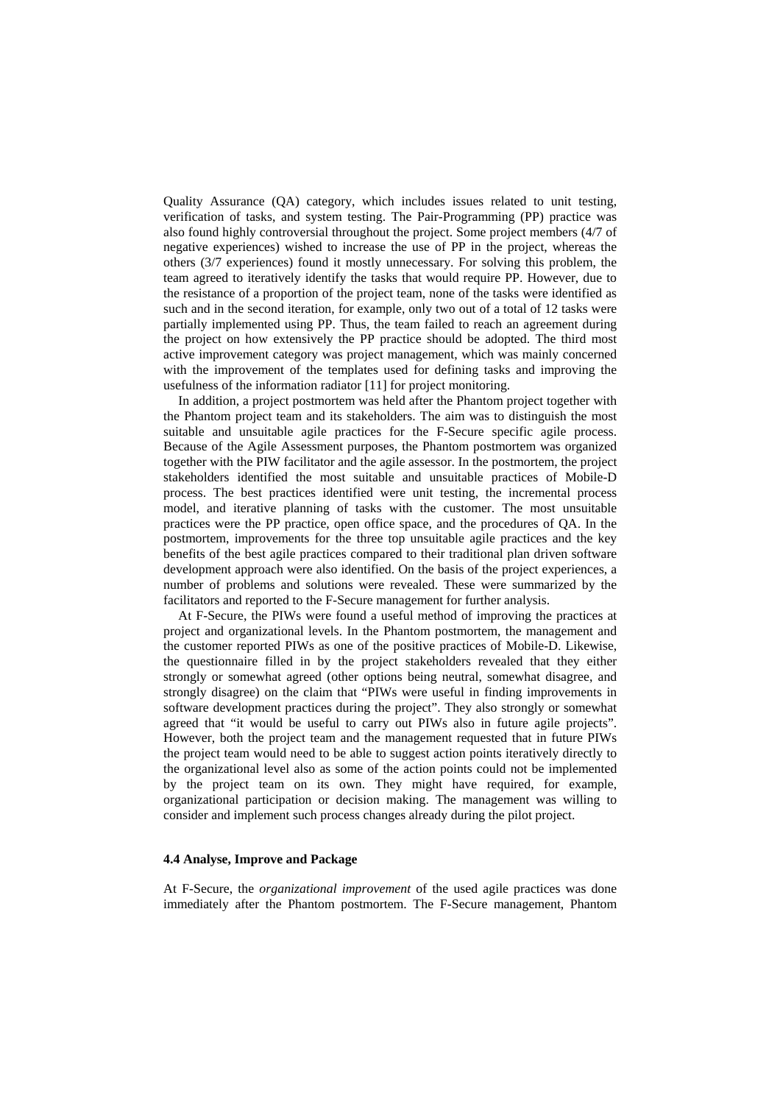Quality Assurance (QA) category, which includes issues related to unit testing, verification of tasks, and system testing. The Pair-Programming (PP) practice was also found highly controversial throughout the project. Some project members (4/7 of negative experiences) wished to increase the use of PP in the project, whereas the others (3/7 experiences) found it mostly unnecessary. For solving this problem, the team agreed to iteratively identify the tasks that would require PP. However, due to the resistance of a proportion of the project team, none of the tasks were identified as such and in the second iteration, for example, only two out of a total of 12 tasks were partially implemented using PP. Thus, the team failed to reach an agreement during the project on how extensively the PP practice should be adopted. The third most active improvement category was project management, which was mainly concerned with the improvement of the templates used for defining tasks and improving the usefulness of the information radiator [11] for project monitoring.

In addition, a project postmortem was held after the Phantom project together with the Phantom project team and its stakeholders. The aim was to distinguish the most suitable and unsuitable agile practices for the F-Secure specific agile process. Because of the Agile Assessment purposes, the Phantom postmortem was organized together with the PIW facilitator and the agile assessor. In the postmortem, the project stakeholders identified the most suitable and unsuitable practices of Mobile-D process. The best practices identified were unit testing, the incremental process model, and iterative planning of tasks with the customer. The most unsuitable practices were the PP practice, open office space, and the procedures of QA. In the postmortem, improvements for the three top unsuitable agile practices and the key benefits of the best agile practices compared to their traditional plan driven software development approach were also identified. On the basis of the project experiences, a number of problems and solutions were revealed. These were summarized by the facilitators and reported to the F-Secure management for further analysis.

At F-Secure, the PIWs were found a useful method of improving the practices at project and organizational levels. In the Phantom postmortem, the management and the customer reported PIWs as one of the positive practices of Mobile-D. Likewise, the questionnaire filled in by the project stakeholders revealed that they either strongly or somewhat agreed (other options being neutral, somewhat disagree, and strongly disagree) on the claim that "PIWs were useful in finding improvements in software development practices during the project". They also strongly or somewhat agreed that "it would be useful to carry out PIWs also in future agile projects". However, both the project team and the management requested that in future PIWs the project team would need to be able to suggest action points iteratively directly to the organizational level also as some of the action points could not be implemented by the project team on its own. They might have required, for example, organizational participation or decision making. The management was willing to consider and implement such process changes already during the pilot project.

#### **4.4 Analyse, Improve and Package**

At F-Secure, the *organizational improvement* of the used agile practices was done immediately after the Phantom postmortem. The F-Secure management, Phantom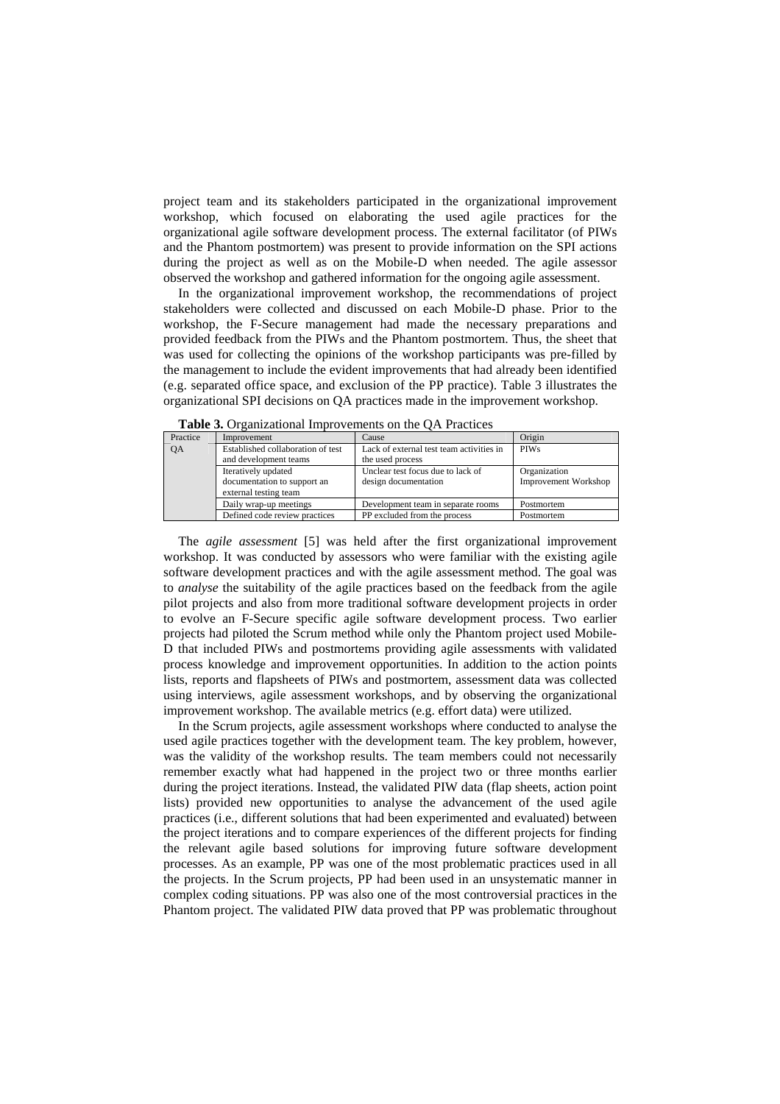project team and its stakeholders participated in the organizational improvement workshop, which focused on elaborating the used agile practices for the organizational agile software development process. The external facilitator (of PIWs and the Phantom postmortem) was present to provide information on the SPI actions during the project as well as on the Mobile-D when needed. The agile assessor observed the workshop and gathered information for the ongoing agile assessment.

In the organizational improvement workshop, the recommendations of project stakeholders were collected and discussed on each Mobile-D phase. Prior to the workshop, the F-Secure management had made the necessary preparations and provided feedback from the PIWs and the Phantom postmortem. Thus, the sheet that was used for collecting the opinions of the workshop participants was pre-filled by the management to include the evident improvements that had already been identified (e.g. separated office space, and exclusion of the PP practice). Table 3 illustrates the organizational SPI decisions on QA practices made in the improvement workshop.

| Practice  | Improvement                                                                 | Cause                                                        | Origin                                      |  |  |
|-----------|-----------------------------------------------------------------------------|--------------------------------------------------------------|---------------------------------------------|--|--|
| <b>OA</b> | Established collaboration of test<br>and development teams                  | Lack of external test team activities in<br>the used process | <b>PIWs</b>                                 |  |  |
|           | Iteratively updated<br>documentation to support an<br>external testing team | Unclear test focus due to lack of<br>design documentation    | Organization<br><b>Improvement Workshop</b> |  |  |
|           | Daily wrap-up meetings                                                      | Development team in separate rooms                           | Postmortem                                  |  |  |
|           | Defined code review practices                                               | PP excluded from the process                                 | Postmortem                                  |  |  |

**Table 3.** Organizational Improvements on the QA Practices

The *agile assessment* [5] was held after the first organizational improvement workshop. It was conducted by assessors who were familiar with the existing agile software development practices and with the agile assessment method. The goal was to *analyse* the suitability of the agile practices based on the feedback from the agile pilot projects and also from more traditional software development projects in order to evolve an F-Secure specific agile software development process. Two earlier projects had piloted the Scrum method while only the Phantom project used Mobile-D that included PIWs and postmortems providing agile assessments with validated process knowledge and improvement opportunities. In addition to the action points lists, reports and flapsheets of PIWs and postmortem, assessment data was collected using interviews, agile assessment workshops, and by observing the organizational improvement workshop. The available metrics (e.g. effort data) were utilized.

In the Scrum projects, agile assessment workshops where conducted to analyse the used agile practices together with the development team. The key problem, however, was the validity of the workshop results. The team members could not necessarily remember exactly what had happened in the project two or three months earlier during the project iterations. Instead, the validated PIW data (flap sheets, action point lists) provided new opportunities to analyse the advancement of the used agile practices (i.e., different solutions that had been experimented and evaluated) between the project iterations and to compare experiences of the different projects for finding the relevant agile based solutions for improving future software development processes. As an example, PP was one of the most problematic practices used in all the projects. In the Scrum projects, PP had been used in an unsystematic manner in complex coding situations. PP was also one of the most controversial practices in the Phantom project. The validated PIW data proved that PP was problematic throughout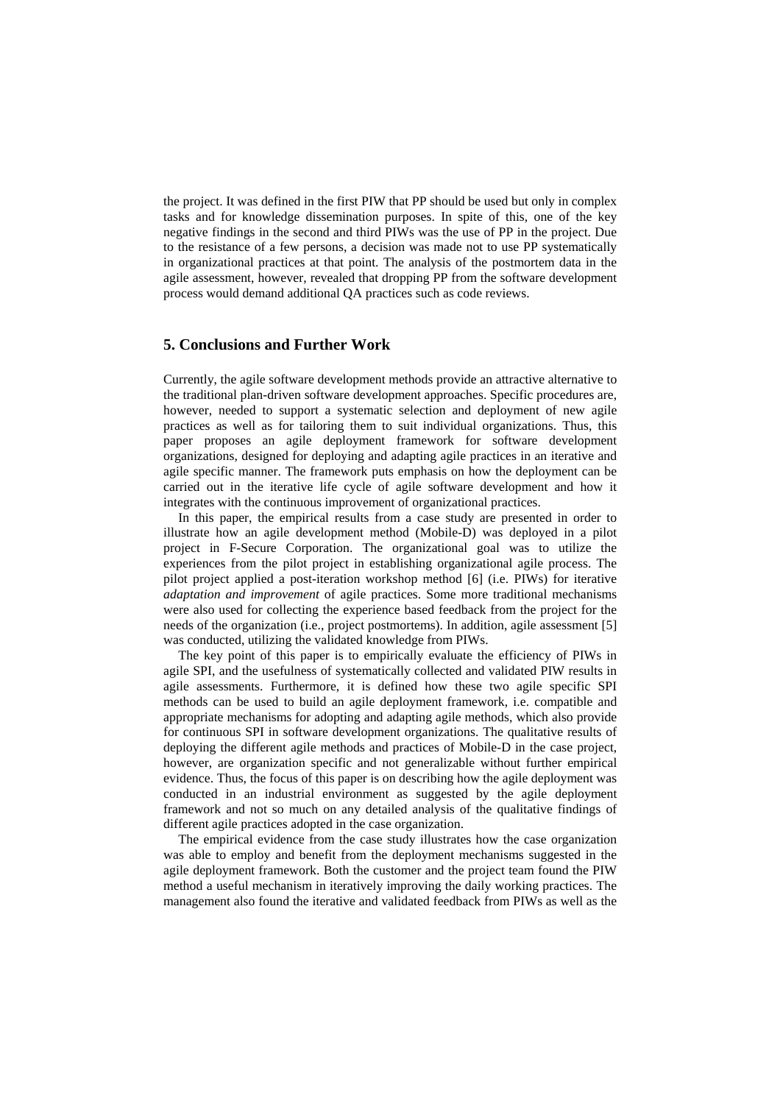the project. It was defined in the first PIW that PP should be used but only in complex tasks and for knowledge dissemination purposes. In spite of this, one of the key negative findings in the second and third PIWs was the use of PP in the project. Due to the resistance of a few persons, a decision was made not to use PP systematically in organizational practices at that point. The analysis of the postmortem data in the agile assessment, however, revealed that dropping PP from the software development process would demand additional QA practices such as code reviews.

### **5. Conclusions and Further Work**

Currently, the agile software development methods provide an attractive alternative to the traditional plan-driven software development approaches. Specific procedures are, however, needed to support a systematic selection and deployment of new agile practices as well as for tailoring them to suit individual organizations. Thus, this paper proposes an agile deployment framework for software development organizations, designed for deploying and adapting agile practices in an iterative and agile specific manner. The framework puts emphasis on how the deployment can be carried out in the iterative life cycle of agile software development and how it integrates with the continuous improvement of organizational practices.

In this paper, the empirical results from a case study are presented in order to illustrate how an agile development method (Mobile-D) was deployed in a pilot project in F-Secure Corporation. The organizational goal was to utilize the experiences from the pilot project in establishing organizational agile process. The pilot project applied a post-iteration workshop method [6] (i.e. PIWs) for iterative *adaptation and improvement* of agile practices. Some more traditional mechanisms were also used for collecting the experience based feedback from the project for the needs of the organization (i.e., project postmortems). In addition, agile assessment [5] was conducted, utilizing the validated knowledge from PIWs.

The key point of this paper is to empirically evaluate the efficiency of PIWs in agile SPI, and the usefulness of systematically collected and validated PIW results in agile assessments. Furthermore, it is defined how these two agile specific SPI methods can be used to build an agile deployment framework, i.e. compatible and appropriate mechanisms for adopting and adapting agile methods, which also provide for continuous SPI in software development organizations. The qualitative results of deploying the different agile methods and practices of Mobile-D in the case project, however, are organization specific and not generalizable without further empirical evidence. Thus, the focus of this paper is on describing how the agile deployment was conducted in an industrial environment as suggested by the agile deployment framework and not so much on any detailed analysis of the qualitative findings of different agile practices adopted in the case organization.

The empirical evidence from the case study illustrates how the case organization was able to employ and benefit from the deployment mechanisms suggested in the agile deployment framework. Both the customer and the project team found the PIW method a useful mechanism in iteratively improving the daily working practices. The management also found the iterative and validated feedback from PIWs as well as the